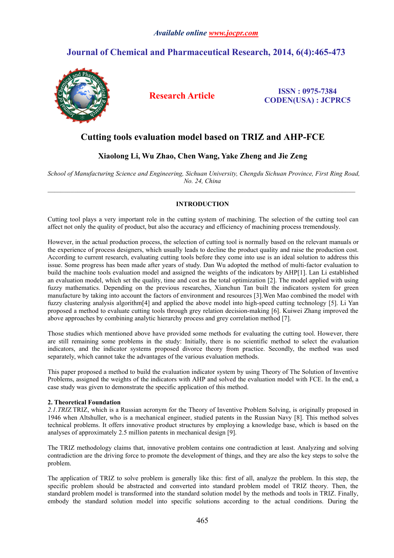## *Available online [www.jocpr.com](http://www.jocpr.com/)*

# **Journal of Chemical and Pharmaceutical Research, 2014, 6(4):465-473**



# **Research Article ISSN : 0975-7384 CODEN(USA) : JCPRC5**

# **Cutting tools evaluation model based on TRIZ and AHP-FCE**

# **Xiaolong Li, Wu Zhao, Chen Wang, Yake Zheng and Jie Zeng**

*School of Manufacturing Science and Engineering, Sichuan University, Chengdu Sichuan Province, First Ring Road, No. 24, China*

 $\_$  , and the state of the state of the state of the state of the state of the state of the state of the state of the state of the state of the state of the state of the state of the state of the state of the state of the

## **INTRODUCTION**

Cutting tool plays a very important role in the cutting system of machining. The selection of the cutting tool can affect not only the quality of product,but also the accuracy and efficiency of machining process tremendously.

However, in the actual production process, the selection of cutting tool is normally based on the relevant manuals or the experience of process designers, which usually leads to decline the product quality and raise the production cost. According to current research, evaluating cutting tools before they come into use is an ideal solution to address this issue. Some progress has been made after years of study. Dan Wu adopted the method of multi-factor evaluation to build the machine tools evaluation model and assigned the weights of the indicators by AHP[1]. Lan Li established an evaluation model, which set the quality, time and cost as the total optimization [2]. The model applied with using fuzzy mathematics. Depending on the previous researches, Xianchun Tan built the indicators system for green manufacture by taking into account the factors of environment and resources [3]. Wen Mao combined the model with fuzzy clustering analysis algorithm[4] and applied the above model into high-speed cutting technology [5]. Li Yan proposed a method to evaluate cutting tools through grey relation decision-making [6]. Kuiwei Zhang improved the above approaches by combining analytic hierarchy process and grey correlation method [7].

Those studies which mentioned above have provided some methods for evaluating the cutting tool. However, there are still remaining some problems in the study: Initially, there is no scientific method to select the evaluation indicators, and the indicator systems proposed divorce theory from practice. Secondly, the method was used separately, which cannot take the advantages of the various evaluation methods.

This paper proposed a method to build the evaluation indicator system by using Theory of The Solution of Inventive Problems, assigned the weights of the indicators with AHP and solved the evaluation model with FCE. In the end, a case study was given to demonstrate the specific application of this method.

### **2. Theoretical Foundation**

*2.1.TRIZ.*TRIZ, which is a Russian acronym for the Theory of Inventive Problem Solving, is originally proposed in 1946 when Altshuller, who is a mechanical engineer, studied patents in the Russian Navy [8]. This method solves technical problems. It offers innovative product structures by employing a knowledge base, which is based on the analyses of approximately 2.5 million patents in mechanical design [9].

The TRIZ methodology claims that, innovative problem contains one contradiction at least. Analyzing and solving contradiction are the driving force to promote the development of things, and they are also the key steps to solve the problem.

The application of TRIZ to solve problem is generally like this: first of all, analyze the problem. In this step, the specific problem should be abstracted and converted into standard problem model of TRIZ theory. Then, the standard problem model is transformed into the standard solution model by the methods and tools in TRIZ. Finally, embody the standard solution model into specific solutions according to the actual conditions. During the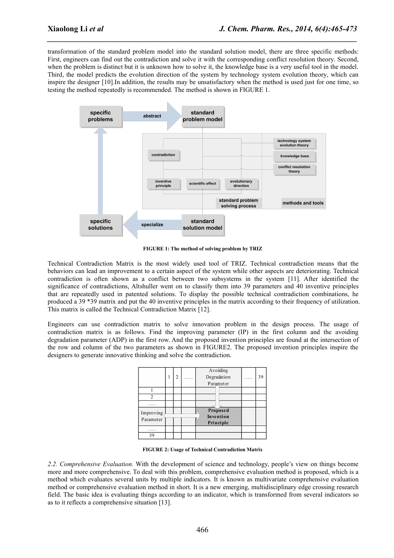transformation of the standard problem model into the standard solution model, there are three specific methods: First, engineers can find out the contradiction and solve it with the corresponding conflict resolution theory. Second, when the problem is distinct but it is unknown how to solve it, the knowledge base is a very useful tool in the model. Third, the model predicts the evolution direction of the system by technology system evolution theory, which can inspire the designer [10].In addition, the results may be unsatisfactory when the method is used just for one time, so testing the method repeatedly is recommended. The method is shown in FIGURE 1.

*\_\_\_\_\_\_\_\_\_\_\_\_\_\_\_\_\_\_\_\_\_\_\_\_\_\_\_\_\_\_\_\_\_\_\_\_\_\_\_\_\_\_\_\_\_\_\_\_\_\_\_\_\_\_\_\_\_\_\_\_\_\_\_\_\_\_\_\_\_\_\_\_\_\_\_\_\_\_*



**FIGURE 1: The method of solving problem by TRIZ**

Technical Contradiction Matrix is the most widely used tool of TRIZ. Technical contradiction means that the behaviors can lead an improvement to a certain aspect of the system while other aspects are deteriorating. Technical contradiction is often shown as a conflict between two subsystems in the system [11]. After identified the significance of contradictions, Altshuller went on to classify them into 39 parameters and 40 inventive principles that are repeatedly used in patented solutions. To display the possible technical contradiction combinations, he produced a 39 \*39 matrix and put the 40 inventive principles in the matrix according to theirfrequency of utilization. This matrix is called the Technical Contradiction Matrix [12].

Engineers can use contradiction matrix to solve innovation problem in the design process. The usage of contradiction matrix is as follows. Find the improving parameter (IP) in the first column and the avoiding degradation parameter (ADP) in the first row. And the proposed invention principles are found at the intersection of the row and column of the two parameters as shown in FIGURE2.The proposed invention principles inspire the designers to generate innovative thinking and solve the contradiction.

|                        | 2 | Avoiding<br>Degradation<br>Parameter | . | 39 |
|------------------------|---|--------------------------------------|---|----|
|                        |   |                                      |   |    |
| 2                      |   |                                      |   |    |
| .                      |   |                                      |   |    |
| Improving<br>Parameter |   | Proposed<br>Invention<br>Principle   |   |    |
|                        |   |                                      |   |    |
| 39                     |   |                                      |   |    |

**FIGURE 2: Usage of Technical Contradiction Matrix**

*2.2. Comprehensive Evaluation.* With the development of science and technology, people's view on things become more and more comprehensive. To deal with this problem, comprehensive evaluation method is proposed, which is a method which evaluates several units by multiple indicators. It is known as multivariate comprehensive evaluation method or comprehensive evaluation method in short. It is a new emerging, multidisciplinary edge crossing research field. The basic idea is evaluating things according to an indicator, which is transformed from several indicators so as to it reflects a comprehensive situation [13].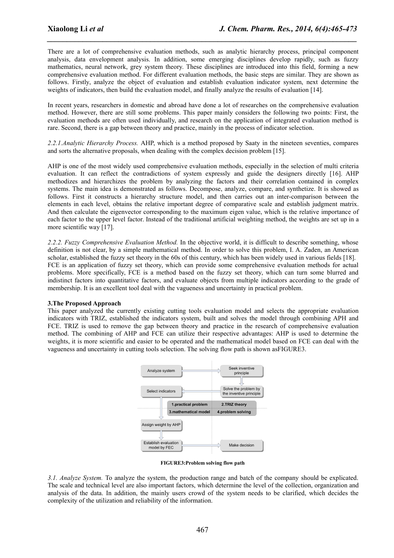There are a lot of comprehensive evaluation methods, such as analytic hierarchy process, principal component analysis, data envelopment analysis. In addition, some emerging disciplines develop rapidly, such as fuzzy mathematics, neural network, grey system theory. These disciplines are introduced into this field, forming a new comprehensive evaluation method. For different evaluation methods, the basic steps are similar. They are shown as follows. Firstly, analyze the object of evaluation and establish evaluation indicator system, next determine the weights of indicators, then build the evaluation model, and finally analyze the results of evaluation [14].

*\_\_\_\_\_\_\_\_\_\_\_\_\_\_\_\_\_\_\_\_\_\_\_\_\_\_\_\_\_\_\_\_\_\_\_\_\_\_\_\_\_\_\_\_\_\_\_\_\_\_\_\_\_\_\_\_\_\_\_\_\_\_\_\_\_\_\_\_\_\_\_\_\_\_\_\_\_\_*

In recent years, researchers in domestic and abroad have done a lot of researches on the comprehensive evaluation method. However, there are still some problems. This paper mainly considers the following two points: First, the evaluation methods are often used individually, and research on the application of integrated evaluation method is rare. Second, there is a gap between theory and practice, mainly in the process of indicator selection.

*2.2.1.Analytic Hierarchy Process.*AHP, which is a method proposed by Saaty in the nineteen seventies, compares and sorts the alternative proposals, when dealing with the complex decision problem [15].

AHP is one of the most widely used comprehensive evaluation methods, especially in the selection of multi criteria evaluation. It can reflect the contradictions of system expressly and guide the designers directly [16]. AHP methodizes and hierarchizes the problem by analyzing the factors and their correlation contained in complex systems. The main idea is demonstrated as follows. Decompose, analyze, compare, and synthetize. It is showed as follows. First it constructs a hierarchy structure model, and then carries out an inter-comparison between the elements in each level, obtains the relative important degree of comparative scale and establish judgment matrix. And then calculate the eigenvector corresponding to the maximum eigen value, which is the relative importance of each factor to the upper level factor. Instead of the traditional artificial weighting method, the weights are set up in a more scientific way [17].

*2.2.2. Fuzzy Comprehensive Evaluation Method.* In the objective world, it is difficult to describe something, whose definition is not clear, by a simple mathematical method. In order to solve this problem, I. A. Zaden, an American scholar, established the fuzzy set theory in the 60s of this century, which has been widely used in various fields [18]. FCE is an application of fuzzy set theory, which can provide some comprehensive evaluation methods for actual problems. More specifically, FCE is a method based on the fuzzy set theory, which can turn some blurred and indistinct factors into quantitative factors, and evaluate objects from multiple indicators according to the grade of membership. It is an excellent tool deal with the vagueness and uncertainty in practical problem.

### **3.The Proposed Approach**

This paper analyzed the currently existing cutting tools evaluation model and selects the appropriate evaluation indicators with TRIZ, established the indicators system, built and solves the model through combining APH and FCE. TRIZ is used to remove the gap between theory and practice in the research of comprehensive evaluation method. The combining of AHP and FCE can utilize their respective advantages: AHP is used to determine the weights, it is more scientific and easier to be operated and the mathematical model based on FCE can deal with the vagueness and uncertainty in cutting tools selection. The solving flow path is shown asFIGURE3.



**FIGURE3:Problem solving flow path**

*3.1. Analyze System.* To analyze the system, the production range and batch of the company should be explicated. The scale and technical level are also important factors, which determine the level of the collection, organization and analysis of the data. In addition, the mainly users crowd of the system needs to be clarified, which decides the complexity of the utilization and reliability of the information.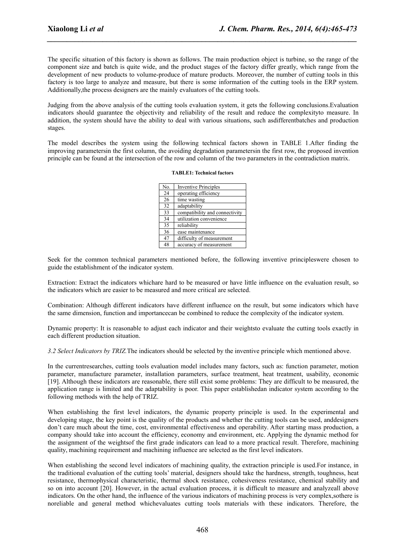The specific situation of this factory is shown as follows.The main production object is turbine, so the range of the component size and batch is quite wide, and the product stages of the factory differ greatly, which range from the development of new products to volume-produce of mature products. Moreover, the number of cutting tools in this factory is too large to analyze and measure, but there is some information of the cutting tools in the ERP system. Additionally, the process designers are the mainly evaluators of the cutting tools.

*\_\_\_\_\_\_\_\_\_\_\_\_\_\_\_\_\_\_\_\_\_\_\_\_\_\_\_\_\_\_\_\_\_\_\_\_\_\_\_\_\_\_\_\_\_\_\_\_\_\_\_\_\_\_\_\_\_\_\_\_\_\_\_\_\_\_\_\_\_\_\_\_\_\_\_\_\_\_*

Judging from the above analysis of the cutting tools evaluation system, itgets the following conclusions.Evaluation indicators should guarantee the objectivity and reliability of the result and reduce the complexityto measure. In addition, the system should have the ability to deal with various situations, such asdifferentbatches and production stages.

The model describes the system using the following technical factors shown in TABLE 1.After finding the improving parametersin the first column, the avoiding degradation parametersin the first row, the proposed invention principle can be found at the intersection of the row and column of the two parameters in the contradiction matrix.

#### **TABLE1: Technical factors**

| No. | <b>Inventive Principles</b>    |
|-----|--------------------------------|
| 24  | operating efficiency           |
| 26  | time wasting                   |
| 32  | adaptability                   |
| 33  | compatibility and connectivity |
| 34  | utilization convenience        |
| 35  | reliability                    |
| 36  | ease maintenance               |
| 47  | difficulty of measurement      |
| 48  | accuracy of measurement        |

Seek for the common technical parameters mentioned before, the following inventive principleswere chosen to guide the establishment of the indicator system.

Extraction: Extract the indicators whichare hard to be measured or have little influence on the evaluation result, so the indicators which are easier to be measured and more critical are selected.

Combination: Although different indicators have different influence on the result, but some indicators which have the same dimension, function and importancecan be combined to reduce the complexity of the indicator system.

Dynamic property: It is reasonable to adjust each indicator and their weightsto evaluate the cutting tools exactly in each different production situation.

*3.2 Select Indicators by TRIZ.*The indicators should be selected by the inventive principle which mentioned above.

In the currentresearches, cutting tools evaluation model includes many factors, such as: function parameter, motion parameter, manufacture parameter, installation parameters, surface treatment, heat treatment, usability, economic [19]. Although these indicators are reasonable, there still exist some problems: They are difficult to be measured, the application range islimited and the adaptability is poor. This paper establishedan indicator system according to the following methods with the help of TRIZ.

When establishing the first level indicators, the dynamic property principle is used. In the experimental and developing stage, the key point is the quality of the products and whether the cutting tools can be used, anddesigners don't care much about the time, cost, environmental effectiveness and operability. After starting mass production, a company should take into account the efficiency, economy and environment, etc. Applying the dynamic method for the assignment of the weightsof the first grade indicators can lead to a more practical result. Therefore, machining quality, machining requirement and machining influence are selected as the first level indicators.

When establishing the second level indicators of machining quality, the extraction principle is used.For instance, in the traditional evaluation of the cutting tools' material, designers should take the hardness, strength, toughness, heat resistance, thermophysical characteristic, thermal shock resistance, cohesiveness resistance, chemical stability and so on into account [20]. However, in the actual evaluation process, it is difficult to measure and analyzeall above indicators. On the other hand, the influence of the various indicators of machining process is very complex, sothere is noreliable and general method whichevaluates cutting tools materials with these indicators. Therefore, the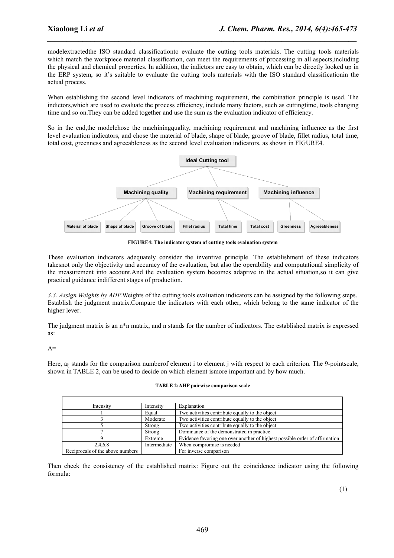modelextractedthe ISO standard classificationto evaluate the cutting tools materials. The cutting tools materials which match the workpiece material classification, can meet the requirements of processing in all aspects, including the physical and chemical properties. In addition, the indictors are easy to obtain, which can be directly looked up in the ERP system, so it's suitable to evaluate the cutting tools materials with the ISO standard classificationin the actual process.

*\_\_\_\_\_\_\_\_\_\_\_\_\_\_\_\_\_\_\_\_\_\_\_\_\_\_\_\_\_\_\_\_\_\_\_\_\_\_\_\_\_\_\_\_\_\_\_\_\_\_\_\_\_\_\_\_\_\_\_\_\_\_\_\_\_\_\_\_\_\_\_\_\_\_\_\_\_\_*

When establishing the second level indicators of machining requirement, the combination principle is used. The indictors,which are used to evaluate the process efficiency, include many factors, such as cuttingtime, tools changing time and so on.They can be added together and use the sum as the evaluation indicator of efficiency.

So in the end,the modelchose the machiningquality, machining requirement and machining influence as the first level evaluation indicators, and chose the material of blade, shape of blade, groove of blade, fillet radius, total time, total cost, greenness and agreeableness as the second level evaluation indicators, as shown in FIGURE4.



**FIGURE4: The indicator system of cutting tools evaluation system**

These evaluation indicators adequately consider the inventive principle. The establishment of these indicators takesnot only the objectivity and accuracy of the evaluation, but also the operability and computational simplicity of the measurement into account.And the evaluation system becomes adaptive in the actual situation,so it can give practical guidance indifferent stages of production.

3.3. *Assign Weights by AHP.* Weights of the cutting tools evaluation indicators can be assigned by the following steps. Establish the judgment matrix.Compare the indicators with each other, which belong to the same indicator of the higher lever.

The judgment matrix is an n\*n matrix, and n stands for the number of indicators. The established matrix is expressed as:

 $A=$ 

Here, a<sub>ij</sub> stands for the comparison numberof element i to element j with respect to each criterion. The 9-pointscale, shown in TABLE 2, can be used to decide on which element ismore important and by how much.

| Intensity                        | Intensity    | Explanation                                                                 |
|----------------------------------|--------------|-----------------------------------------------------------------------------|
|                                  | Equal        | Two activities contribute equally to the object                             |
|                                  | Moderate     | Two activities contribute equally to the object                             |
|                                  | Strong       | Two activities contribute equally to the object                             |
|                                  | Strong       | Dominance of the demonstrated in practice                                   |
|                                  | Extreme      | Evidence favoring one over another of highest possible order of affirmation |
| 2,4,6,8                          | Intermediate | When compromise is needed                                                   |
| Reciprocals of the above numbers |              | For inverse comparison                                                      |

#### **TABLE 2:AHP pairwise comparison scale**

Then check the consistency of the established matrix: Figure out the coincidence indicator using the following formula: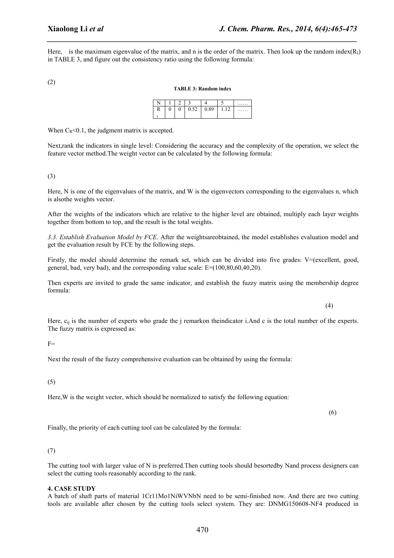Here, is the maximum eigenvalue of the matrix, and n is the order of the matrix. Then look up the random index $(R<sub>1</sub>)$ in TABLE 3, and figure out the consistency ratio using the following formula:

*\_\_\_\_\_\_\_\_\_\_\_\_\_\_\_\_\_\_\_\_\_\_\_\_\_\_\_\_\_\_\_\_\_\_\_\_\_\_\_\_\_\_\_\_\_\_\_\_\_\_\_\_\_\_\_\_\_\_\_\_\_\_\_\_\_\_\_\_\_\_\_\_\_\_\_\_\_\_*

(2)

#### **TABLE 3: Random index**

| N      |             | $\sim$<br>∸ | ٠              |      |                | . |
|--------|-------------|-------------|----------------|------|----------------|---|
| D<br>л | $\sim$<br>v | v           | $\sim$<br>0.34 | 0.89 | $\sim$<br>1.14 | . |
|        |             |             |                |      |                |   |

When  $C_R < 0.1$ , the judgment matrix is accepted.

Next,rank the indicators in single level: Considering the accuracy and the complexity of the operation, we select the feature vector method.The weight vector can be calculated by the following formula:

(3)

Here, N is one of the eigenvalues of the matrix, and W is the eigenvectors corresponding to the eigenvalues n, which is alsothe weights vector.

After the weights of the indicators which are relative to the higher level are obtained, multiply each layer weights together from bottom to top, and the result is the total weights.

*3.3. Establish Evaluation Model by FCE.* After the weightsareobtained, the model establishes evaluation model and get the evaluation result by FCE by the following steps.

Firstly, the model should determine the remark set, which can be divided into five grades: V=(excellent, good, general, bad, very bad), and the corresponding value scale:  $E=(100,80,60,40,20)$ .

Then experts are invited to grade the same indicator, and establish the fuzzy matrix using the membership degree formula:

(4)

Here,  $c_{ii}$  is the number of experts who grade the j remarkon theindicator i.And c is the total number of the experts. The fuzzy matrix is expressed as:

 $F=$ 

Next the result of the fuzzy comprehensive evaluation can be obtained by using the formula:

(5)

Here,W is the weight vector, which should be normalized to satisfy the following equation:

(6)

Finally, the priority of each cutting tool can be calculated by the formula:

### (7)

The cutting tool with larger value of N is preferred.Then cutting tools should besortedby Nand process designers can select the cutting tools reasonably according to the rank.

### **4. CASE STUDY**

A batch of shaft parts of material 1Cr11Mo1NiWVNbN need to be semi-finished now. And there are two cutting tools are available after chosen by the cutting tools select system. They are: DNMG150608-NF4 produced in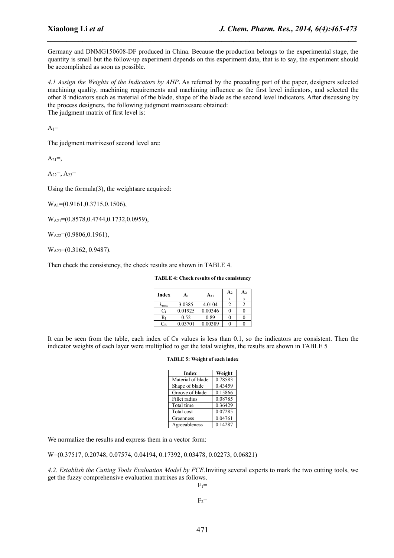Germany and DNMG150608-DF produced in China. Because the production belongs to the experimental stage, the quantity is small but the follow-up experiment depends on this experiment data, that is to say, the experiment should be accomplished as soon as possible.

*\_\_\_\_\_\_\_\_\_\_\_\_\_\_\_\_\_\_\_\_\_\_\_\_\_\_\_\_\_\_\_\_\_\_\_\_\_\_\_\_\_\_\_\_\_\_\_\_\_\_\_\_\_\_\_\_\_\_\_\_\_\_\_\_\_\_\_\_\_\_\_\_\_\_\_\_\_\_*

*4.1 Assign the Weights of the Indicators by AHP*. As referred by the preceding part of the paper, designers selected machining quality, machining requirements and machining influence as the first level indicators, and selected the other 8 indicators such as material of the blade, shape of the blade as the second level indicators. After discussing by the process designers, the following judgment matrixesare obtained: The judgment matrix of first level is:

 $A_1=$ 

The judgment matrixesof second level are:

 $A_{21} =$ ,

 $A_{22} = A_{23} =$ 

Using the formula(3), the weightsare acquired:

W<sub>A1</sub>=(0.9161, 0.3715, 0.1506),

W<sub>A21</sub>=(0.8578,0.4744,0.1732,0.0959),

W<sub>A22</sub>=(0.9806,0.1961),

W<sub>A23</sub>=(0.3162, 0.9487).

Then check the consistency, the check results are shown in TABLE 4.

**TABLE 4: Check results of the consistency** 

| Index            | A <sub>1</sub> | $A_{21}$ | A <sub>2</sub> | A <sub>2</sub> |
|------------------|----------------|----------|----------------|----------------|
|                  |                |          | $\mathbf{2}$   | 3              |
| $A_{\text{max}}$ | 3.0385         | 4.0104   |                |                |
| Ċı               | 0.01925        | 0.00346  |                |                |
| Rı               | 0.52           | 0.89     |                |                |
| $C_R$            | 0.03701        | 0.00389  |                |                |

It can be seen from the table, each index of  $C_R$  values is less than 0.1, so the indicators are consistent. Then the indicator weights ofeach layer were multiplied to get the total weights, the results are shown in TABLE 5

#### **TABLE 5: Weight of each index**

| <b>Index</b>      | Weight  |
|-------------------|---------|
| Material of blade | 0.78583 |
| Shape of blade    | 0.43459 |
| Groove of blade   | 0.15866 |
| Fillet radius     | 0.08785 |
| Total time        | 0.36429 |
| Total cost        | 0.07285 |
| Greenness         | 0.04761 |
| Agreeableness     | 0.14287 |

We normalize the results and express them in a vector form:

W=(0.37517, 0.20748, 0.07574, 0.04194, 0.17392, 0.03478, 0.02273, 0.06821)

*4.2. Establish the Cutting Tools Evaluation Model by FCE.*Inviting several experts to mark the two cutting tools, we get the fuzzy comprehensive evaluation matrixes as follows.

 $F_1=$ 

 $F_2=$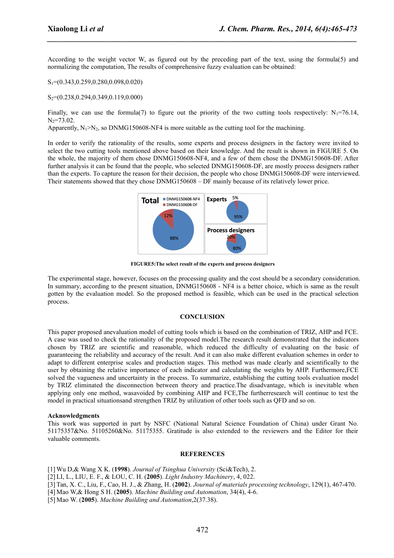According to the weight vector W, as figured out by the preceding part of the text, using the formula(5) and normalizing the computation, The results of comprehensive fuzzy evaluation can be obtained:

*\_\_\_\_\_\_\_\_\_\_\_\_\_\_\_\_\_\_\_\_\_\_\_\_\_\_\_\_\_\_\_\_\_\_\_\_\_\_\_\_\_\_\_\_\_\_\_\_\_\_\_\_\_\_\_\_\_\_\_\_\_\_\_\_\_\_\_\_\_\_\_\_\_\_\_\_\_\_*

S1=(0.343,0.259,0.280,0.098,0.020)

S<sub>2</sub>=(0.238, 0.294, 0.349, 0.119, 0.000)

Finally, we can use the formula(7) to figure out the priority of the two cutting tools respectively:  $N_1$ =76.14,  $N_2 = 73.02$ .

Apparently,  $N_1 > N_2$ , so DNMG150608-NF4 is more suitable as the cutting tool for the machining.

In order to verify the rationality of the results, some experts and process designers in the factory were invited to select the two cutting tools mentioned above based on their knowledge. And the result is shown in FIGURE 5. On the whole, the majority of them chose DNMG150608-NF4, and a few of them chose the DNMG150608-DF. After further analysis it can be found that the people, who selected DNMG150608-DF, are mostly process designers rather than the experts. To capture the reason for their decision, the people who chose DNMG150608-DF were interviewed. Their statements showed that they chose DNMG150608 – DF mainly because of its relatively lower price.



**FIGURE5:The select result of the experts and process designers**

The experimental stage, however, focuses on the processing quality and the cost should be a secondary consideration. In summary, according to the present situation, DNMG150608 - NF4 is a better choice, which is same as the result gotten by the evaluation model. So the proposed method is feasible, which can be used in the practical selection process.

### **CONCLUSION**

This paper proposed anevaluation model of cutting tools which is based on the combination of TRIZ, AHP and FCE. A case was used to check the rationality of the proposed model.The research result demonstrated that the indicators chosen by TRIZ are scientific and reasonable, which reduced the difficulty of evaluating on the basic of guaranteeing the reliability and accuracy of the result. And it can also make different evaluation schemes in order to adapt to different enterprise scales and production stages. This method was made clearly and scientifically to the user by obtaining the relative importance of each indicator and calculating the weights by AHP. Furthermore,FCE solved the vagueness and uncertainty in the process. To summarize, establishing the cutting tools evaluation model by TRIZ eliminated the disconnection between theory and practice.The disadvantage, which is inevitable when applying only one method, wasavoided by combining AHP and FCE, The furtherresearch will continue to test the model in practical situationsand strengthen TRIZ by utilization of other tools such as QFD and so on.

#### **Acknowledgments**

This work was supported in part by NSFC (National Natural Science Foundation of China) under Grant No. 51175357&No. 51105260&No. 51175355. Gratitude is also extended to the reviewers and the Editor for their valuable comments.

#### **REFERENCES**

[1] Wu D,& Wang X K. (**1998**). *Journal of Tsinghua University* (Sci&Tech), 2.

- [2] LI, L., LIU, E. F., & LOU, C. H. (**2005**). *Light Industry Machinery*, 4, 022.
- [3] Tan, X. C., Liu, F., Cao, H. J., & Zhang, H. (**2002**). *Journal of materials processing technology*, 129(1), 467-470.
- [4] Mao W,& Hong S H. (**2005**). *Machine Building and Automation*, 34(4), 4-6.
- [5] Mao W. (**2005**). *Machine Building and Automation*,2(37.38).